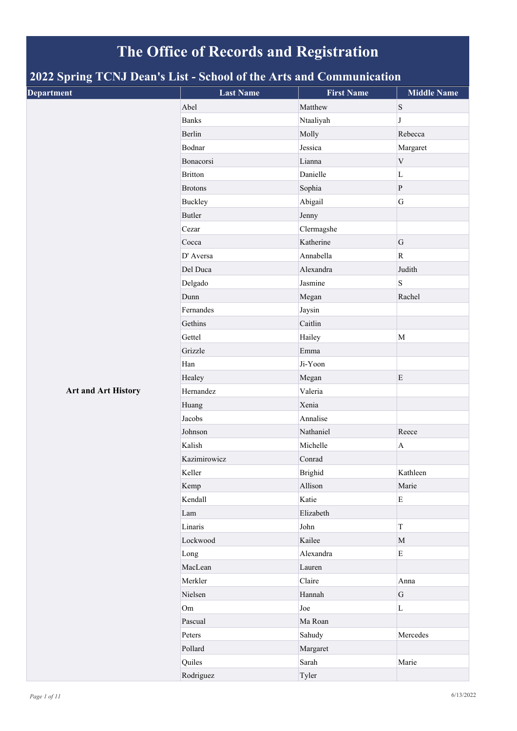## **The Office of Records and Registration**

## **2022 Spring TCNJ Dean's List - School of the Arts and Communication**

| . .<br>$\overline{\phantom{0}}$<br><b>Department</b> | <b>Last Name</b> | <b>First Name</b> | <b>Middle Name</b> |
|------------------------------------------------------|------------------|-------------------|--------------------|
|                                                      | Abel             | Matthew           | $\mathbf S$        |
|                                                      | <b>Banks</b>     | Ntaaliyah         | J                  |
|                                                      | Berlin           | Molly             | Rebecca            |
|                                                      | Bodnar           | Jessica           | Margaret           |
|                                                      | Bonacorsi        | Lianna            | $\mathbf V$        |
|                                                      | <b>Britton</b>   | Danielle          | $\mathbf L$        |
|                                                      | <b>Brotons</b>   | Sophia            | ${\bf P}$          |
|                                                      | <b>Buckley</b>   | Abigail           | G                  |
|                                                      | Butler           | Jenny             |                    |
|                                                      | Cezar            | Clermagshe        |                    |
|                                                      | Cocca            | Katherine         | G                  |
|                                                      | D' Aversa        | Annabella         | $\mathbf R$        |
|                                                      | Del Duca         | Alexandra         | Judith             |
|                                                      | Delgado          | Jasmine           | S                  |
|                                                      | Dunn             | Megan             | Rachel             |
|                                                      | Fernandes        | Jaysin            |                    |
|                                                      | Gethins          | Caitlin           |                    |
|                                                      | Gettel           | Hailey            | $\mathbf M$        |
|                                                      | Grizzle          | Emma              |                    |
|                                                      | Han              | Ji-Yoon           |                    |
|                                                      | Healey           | Megan             | ${\bf E}$          |
| <b>Art and Art History</b>                           | Hernandez        | Valeria           |                    |
|                                                      | Huang            | Xenia             |                    |
|                                                      | Jacobs           | Annalise          |                    |
|                                                      | Johnson          | Nathaniel         | Reece              |
|                                                      | Kalish           | Michelle          | $\mathbf A$        |
|                                                      | Kazimirowicz     | Conrad            |                    |
|                                                      | Keller           | <b>Brighid</b>    | Kathleen           |
|                                                      | Kemp             | Allison           | Marie              |
|                                                      | Kendall          | Katie             | ${\rm E}$          |
|                                                      | Lam              | Elizabeth         |                    |
|                                                      | Linaris          | John              | $\rm T$            |
|                                                      | Lockwood         | Kailee            | $\mathbf M$        |
|                                                      | Long             | Alexandra         | $\mathbf E$        |
|                                                      | MacLean          | Lauren            |                    |
|                                                      | Merkler          | Claire            | Anna               |
|                                                      | Nielsen          | Hannah            | ${\bf G}$          |
|                                                      | Om               | Joe               | $\rm L$            |
|                                                      | Pascual          | Ma Roan           |                    |
|                                                      | Peters           | Sahudy            | Mercedes           |
|                                                      | Pollard          | Margaret          |                    |
|                                                      | Quiles           | Sarah             | Marie              |
|                                                      | Rodriguez        | Tyler             |                    |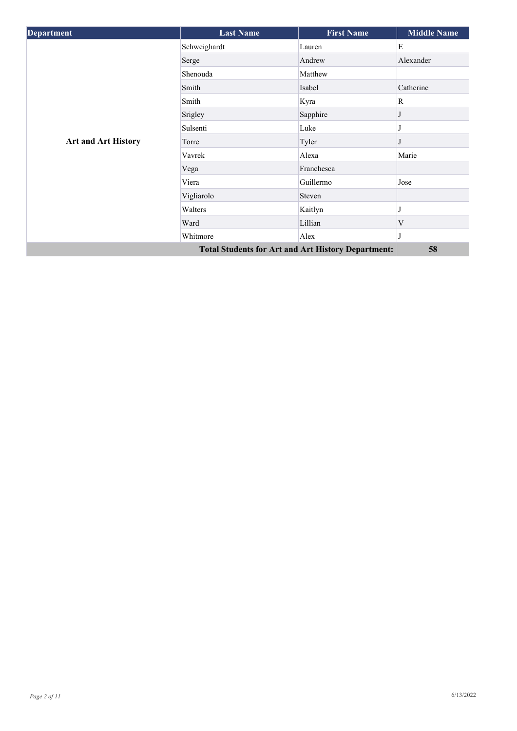| <b>Department</b>          | <b>Last Name</b>                                          | <b>First Name</b> | <b>Middle Name</b> |
|----------------------------|-----------------------------------------------------------|-------------------|--------------------|
|                            | Schweighardt                                              | Lauren            | E                  |
|                            | Serge                                                     | Andrew            | Alexander          |
|                            | Shenouda                                                  | Matthew           |                    |
|                            | Smith                                                     | Isabel            | Catherine          |
|                            | Smith                                                     | Kyra              | $\mathbb{R}$       |
|                            | Srigley                                                   | Sapphire          |                    |
|                            | Sulsenti                                                  | Luke              |                    |
| <b>Art and Art History</b> | Torre                                                     | Tyler             |                    |
|                            | Vavrek                                                    | Alexa             | Marie              |
|                            | Vega                                                      | Franchesca        |                    |
|                            | Viera                                                     | Guillermo         | Jose               |
|                            | Vigliarolo                                                | Steven            |                    |
|                            | Walters                                                   | Kaitlyn           |                    |
|                            | Ward                                                      | Lillian           | V                  |
|                            | Whitmore                                                  | Alex              |                    |
|                            | <b>Total Students for Art and Art History Department:</b> |                   | 58                 |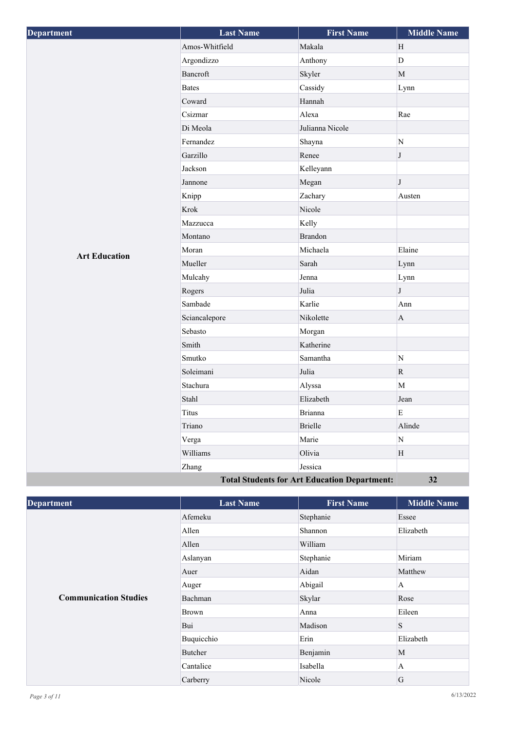| <b>Department</b>                                   | <b>Last Name</b> | <b>First Name</b> | <b>Middle Name</b> |
|-----------------------------------------------------|------------------|-------------------|--------------------|
|                                                     | Amos-Whitfield   | Makala            | H                  |
|                                                     | Argondizzo       | Anthony           | $\mathbf{D}$       |
|                                                     | Bancroft         | Skyler            | $\mathbf M$        |
|                                                     | <b>Bates</b>     | Cassidy           | Lynn               |
|                                                     | Coward           | Hannah            |                    |
|                                                     | Csizmar          | Alexa             | Rae                |
|                                                     | Di Meola         | Julianna Nicole   |                    |
|                                                     | Fernandez        | Shayna            | ${\bf N}$          |
|                                                     | Garzillo         | Renee             | $\bf J$            |
|                                                     | Jackson          | Kelleyann         |                    |
|                                                     | Jannone          | Megan             | $\bf J$            |
|                                                     | Knipp            | Zachary           | Austen             |
|                                                     | Krok             | Nicole            |                    |
|                                                     | Mazzucca         | Kelly             |                    |
|                                                     | Montano          | <b>Brandon</b>    |                    |
| <b>Art Education</b>                                | Moran            | Michaela          | Elaine             |
|                                                     | Mueller          | Sarah             | Lynn               |
|                                                     | Mulcahy          | Jenna             | Lynn               |
|                                                     | Rogers           | Julia             | $\bf J$            |
|                                                     | Sambade          | Karlie            | Ann                |
|                                                     | Sciancalepore    | Nikolette         | $\mathbf{A}$       |
|                                                     | Sebasto          | Morgan            |                    |
|                                                     | Smith            | Katherine         |                    |
|                                                     | Smutko           | Samantha          | $\mathbf N$        |
|                                                     | Soleimani        | Julia             | $\mathbf R$        |
|                                                     | Stachura         | Alyssa            | M                  |
|                                                     | Stahl            | Elizabeth         | Jean               |
|                                                     | <b>Titus</b>     | <b>Brianna</b>    | E                  |
|                                                     | Triano           | <b>Brielle</b>    | Alinde             |
|                                                     | Verga            | Marie             | ${\bf N}$          |
|                                                     | Williams         | Olivia            | $\, {\rm H}$       |
|                                                     | Zhang            | Jessica           |                    |
| <b>Total Students for Art Education Department:</b> |                  |                   | 32                 |

| <b>Department</b>            | <b>Last Name</b> | <b>First Name</b> | <b>Middle Name</b> |
|------------------------------|------------------|-------------------|--------------------|
|                              | Afemeku          | Stephanie         | Essee              |
|                              | Allen            | Shannon           | Elizabeth          |
|                              | Allen            | William           |                    |
|                              | Aslanyan         | Stephanie         | Miriam             |
|                              | Auer             | Aidan             | Matthew            |
|                              | Auger            | Abigail           | A                  |
| <b>Communication Studies</b> | Bachman          | Skylar            | Rose               |
|                              | <b>Brown</b>     | Anna              | Eileen             |
|                              | Bui              | Madison           | ${\bf S}$          |
|                              | Buquicchio       | Erin              | Elizabeth          |
|                              | <b>Butcher</b>   | Benjamin          | M                  |
|                              | Cantalice        | Isabella          | $\overline{A}$     |
|                              | Carberry         | Nicole            | G                  |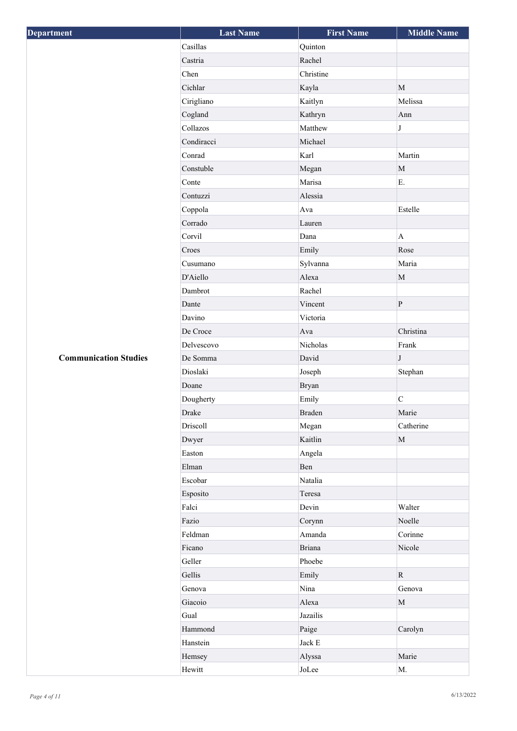| <b>Department</b>            | <b>Last Name</b> | <b>First Name</b> | <b>Middle Name</b> |
|------------------------------|------------------|-------------------|--------------------|
|                              | Casillas         | Quinton           |                    |
|                              | Castria          | Rachel            |                    |
|                              | Chen             | Christine         |                    |
|                              | Cichlar          | Kayla             | M                  |
|                              | Cirigliano       | Kaitlyn           | Melissa            |
|                              | Cogland          | Kathryn           | Ann                |
|                              | Collazos         | Matthew           | J                  |
|                              | Condiracci       | Michael           |                    |
|                              | Conrad           | Karl              | Martin             |
|                              | Constuble        | Megan             | $\mathbf M$        |
|                              | Conte            | Marisa            | E.                 |
|                              | Contuzzi         | Alessia           |                    |
|                              | Coppola          | Ava               | Estelle            |
|                              | Corrado          | Lauren            |                    |
|                              | Corvil           | Dana              | $\mathbf{A}$       |
|                              | Croes            | Emily             | Rose               |
|                              | Cusumano         | Sylvanna          | Maria              |
|                              | D'Aiello         | Alexa             | $\mathbf M$        |
|                              | Dambrot          | Rachel            |                    |
|                              | Dante            | Vincent           | $\, {\bf P}$       |
|                              | Davino           | Victoria          |                    |
|                              | De Croce         | Ava               | Christina          |
|                              | Delvescovo       | Nicholas          | Frank              |
| <b>Communication Studies</b> | De Somma         | David             | $\bf J$            |
|                              | Dioslaki         | Joseph            | Stephan            |
|                              | Doane            | <b>Bryan</b>      |                    |
|                              | Dougherty        | Emily             | $\overline{C}$     |
|                              | Drake            | <b>Braden</b>     | Marie              |
|                              | Driscoll         | Megan             | Catherine          |
|                              | Dwyer            | Kaitlin           | $\mathbf M$        |
|                              | Easton           | Angela            |                    |
|                              | Elman            | Ben               |                    |
|                              | Escobar          | Natalia           |                    |
|                              | Esposito         | Teresa            |                    |
|                              | Falci            | Devin             | Walter             |
|                              | Fazio            | Corynn            | Noelle             |
|                              | Feldman          | Amanda            | Corinne            |
|                              | Ficano           | <b>Briana</b>     | Nicole             |
|                              | Geller           | Phoebe            |                    |
|                              | Gellis           | Emily             | $\mathbf R$        |
|                              | Genova           | Nina              | Genova             |
|                              | Giacoio          | Alexa             | $\mathbf M$        |
|                              | Gual             | Jazailis          |                    |
|                              | Hammond          | Paige             | Carolyn            |
|                              | Hanstein         | Jack ${\rm E}$    |                    |
|                              | Hemsey           | Alyssa            | Marie              |
|                              | Hewitt           | JoLee             | $\mathbf{M}.$      |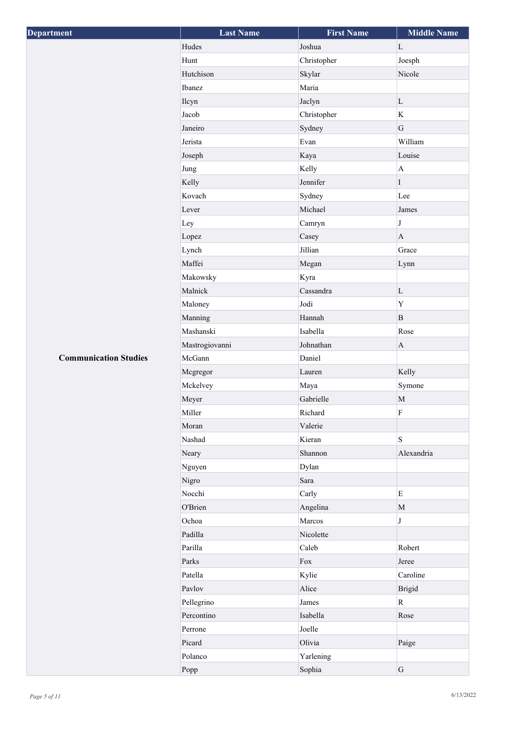| Department                   | <b>Last Name</b> | <b>First Name</b> | <b>Middle Name</b> |
|------------------------------|------------------|-------------------|--------------------|
|                              | Hudes            | Joshua            | $\mathbf{L}$       |
|                              | Hunt             | Christopher       | Joesph             |
|                              | Hutchison        | Skylar            | Nicole             |
|                              | Ibanez           | Maria             |                    |
|                              | Ilcyn            | Jaclyn            | $\mathbf L$        |
|                              | Jacob            | Christopher       | $\bf K$            |
|                              | Janeiro          | Sydney            | G                  |
|                              | Jerista          | Evan              | William            |
|                              | Joseph           | Kaya              | Louise             |
|                              | Jung             | Kelly             | $\mathbf A$        |
|                              | Kelly            | Jennifer          | $\rm I$            |
|                              | Kovach           | Sydney            | Lee                |
|                              | Lever            | Michael           | James              |
|                              | Ley              | Camryn            | $\bf J$            |
|                              | Lopez            | Casey             | $\mathbf{A}$       |
|                              | Lynch            | Jillian           | Grace              |
|                              | Maffei           | Megan             | Lynn               |
|                              | Makowsky         | Kyra              |                    |
|                              | Malnick          | Cassandra         | $\mathbf L$        |
|                              | Maloney          | Jodi              | Y                  |
|                              | Manning          | Hannah            | $\, {\bf B}$       |
|                              | Mashanski        | Isabella          | Rose               |
|                              | Mastrogiovanni   | Johnathan         | $\mathbf A$        |
| <b>Communication Studies</b> | McGann           | Daniel            |                    |
|                              | Mcgregor         | Lauren            | Kelly              |
|                              | Mckelvey         | Maya              | Symone             |
|                              | Meyer            | Gabrielle         | $\mathbf M$        |
|                              | Miller           | Richard           | $\rm F$            |
|                              | Moran            | Valerie           |                    |
|                              | Nashad           | Kieran            | S                  |
|                              | Neary            | Shannon           | Alexandria         |
|                              | Nguyen           | Dylan             |                    |
|                              | Nigro            | Sara              |                    |
|                              | Nocchi           | Carly             | $\mathbf E$        |
|                              | O'Brien          | Angelina          | $\mathbf M$        |
|                              | Ochoa            | Marcos            | $\bf J$            |
|                              | Padilla          | Nicolette         |                    |
|                              | Parilla          | Caleb             | Robert             |
|                              | Parks            | $\rm Fox$         | Jeree              |
|                              | Patella          | Kylie             | Caroline           |
|                              | Pavlov           | Alice             | <b>Brigid</b>      |
|                              | Pellegrino       | James             | $\mathbf R$        |
|                              | Percontino       | Isabella          | Rose               |
|                              | Perrone          | Joelle            |                    |
|                              | Picard           | Olivia            | Paige              |
|                              | Polanco          | Yarlening         |                    |
|                              | Popp             | Sophia            | ${\bf G}$          |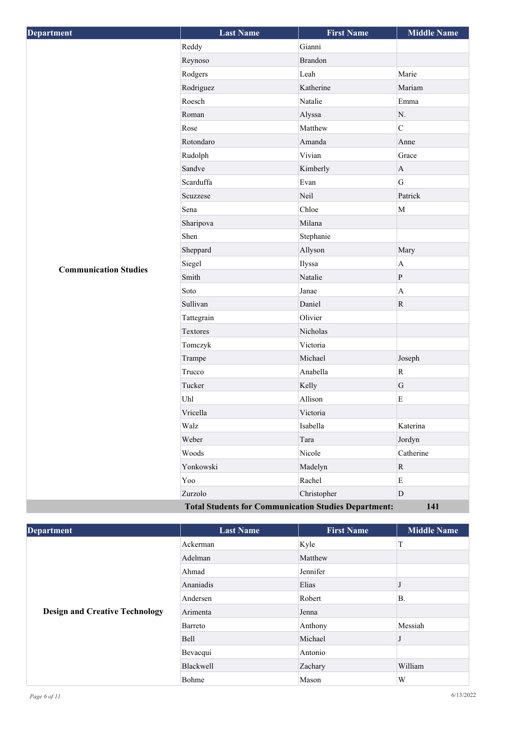| <b>Department</b>            | <b>Last Name</b>  | <b>First Name</b>                                                 | <b>Middle Name</b> |
|------------------------------|-------------------|-------------------------------------------------------------------|--------------------|
|                              | Reddy             | Gianni                                                            |                    |
|                              | Reynoso           | <b>Brandon</b>                                                    |                    |
|                              | Rodgers           | Leah                                                              | Marie              |
|                              | Rodriguez         | Katherine                                                         | Mariam             |
|                              | Roesch            | Natalie                                                           | Emma               |
|                              | Roman             | Alyssa                                                            | N.                 |
|                              | Rose              | Matthew                                                           | $\overline{C}$     |
|                              | Rotondaro         | Amanda                                                            | Anne               |
|                              | Rudolph           | Vivian                                                            | Grace              |
|                              | Sandve            | Kimberly                                                          | $\bf{A}$           |
|                              | Scarduffa         | Evan                                                              | $\overline{G}$     |
|                              | Scuzzese          | Neil                                                              | Patrick            |
|                              | Sena              | Chloe                                                             | $\mathbf M$        |
|                              | Sharipova         | Milana                                                            |                    |
|                              | Shen              | Stephanie                                                         |                    |
|                              | Sheppard          | Allyson                                                           | Mary               |
| <b>Communication Studies</b> | Siegel            | Ilyssa                                                            | $\mathbf A$        |
|                              | Smith             | Natalie                                                           | ${\bf P}$          |
|                              | Soto              | Janae                                                             | $\mathbf{A}$       |
|                              | Sullivan          | Daniel                                                            | ${\bf R}$          |
|                              | Tattegrain        | Olivier                                                           |                    |
|                              | Textores          | Nicholas                                                          |                    |
|                              | Tomczyk           | Victoria                                                          |                    |
|                              | Trampe            | Michael                                                           | Joseph             |
|                              | Trucco            | Anabella                                                          | ${\bf R}$          |
|                              | Tucker            | Kelly                                                             | ${\bf G}$          |
|                              | Uhl               | Allison                                                           | ${\bf E}$          |
|                              | Vricella          | Victoria                                                          |                    |
|                              | Walz              | Isabella                                                          | Katerina           |
|                              | Weber             | Tara                                                              | Jordyn             |
|                              | Woods             | Nicole                                                            | Catherine          |
|                              | Yonkowski         | Madelyn                                                           | $\mathbf R$        |
|                              | Yoo               | Rachel                                                            | $\mathbf E$        |
|                              | Zurzolo           | Christopher                                                       | D                  |
|                              | Total Students fo | $L_{\text{on}}$ $\Omega_{\text{tridiag}}$ $\mathbf{D}_{\text{c}}$ | 141                |

**Total Students for Communication Studies Department: 141**

| <b>Department</b>                     | <b>Last Name</b> | <b>First Name</b> | <b>Middle Name</b> |
|---------------------------------------|------------------|-------------------|--------------------|
|                                       | Ackerman         | Kyle              | T                  |
|                                       | Adelman          | Matthew           |                    |
|                                       | Ahmad            | Jennifer          |                    |
|                                       | Ananiadis        | Elias             |                    |
| <b>Design and Creative Technology</b> | Andersen         | Robert            | Β.                 |
|                                       | Arimenta         | Jenna             |                    |
|                                       | Barreto          | Anthony           | Messiah            |
|                                       | Bell             | Michael           |                    |
|                                       | Bevacqui         | Antonio           |                    |
|                                       | Blackwell        | Zachary           | William            |
|                                       | Bohme            | Mason             | W                  |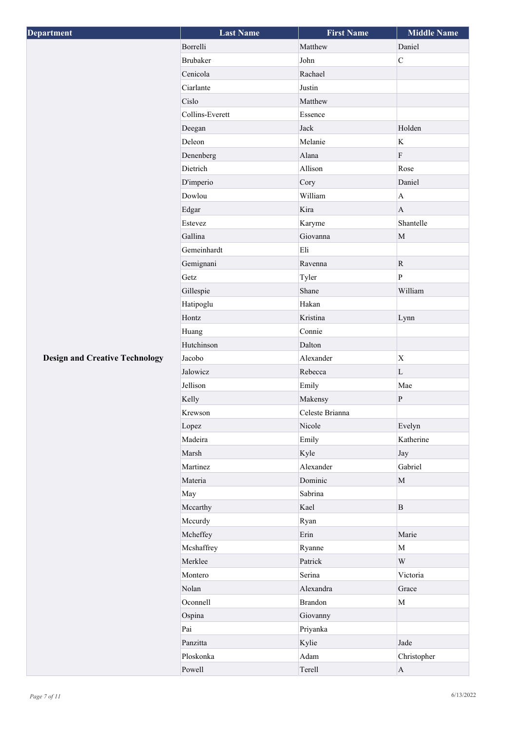| Department                            | <b>Last Name</b> | <b>First Name</b> | <b>Middle Name</b>      |
|---------------------------------------|------------------|-------------------|-------------------------|
|                                       | Borrelli         | Matthew           | Daniel                  |
|                                       | Brubaker         | John              | $\overline{C}$          |
|                                       | Cenicola         | Rachael           |                         |
|                                       | Ciarlante        | Justin            |                         |
|                                       | Cislo            | Matthew           |                         |
|                                       | Collins-Everett  | Essence           |                         |
|                                       | Deegan           | Jack              | Holden                  |
|                                       | Deleon           | Melanie           | K                       |
|                                       | Denenberg        | Alana             | $\rm F$                 |
|                                       | Dietrich         | Allison           | Rose                    |
|                                       | D'imperio        | Cory              | Daniel                  |
|                                       | Dowlou           | William           | $\mathbf A$             |
|                                       | Edgar            | Kira              | $\mathbf{A}$            |
|                                       | Estevez          | Karyme            | Shantelle               |
|                                       | Gallina          | Giovanna          | $\mathbf M$             |
|                                       | Gemeinhardt      | Eli               |                         |
|                                       | Gemignani        | Ravenna           | $\mathbf R$             |
|                                       | Getz             | Tyler             | $\overline{P}$          |
|                                       | Gillespie        | Shane             | William                 |
|                                       | Hatipoglu        | Hakan             |                         |
|                                       | Hontz            | Kristina          | Lynn                    |
|                                       | Huang            | Connie            |                         |
|                                       | Hutchinson       | Dalton            |                         |
| <b>Design and Creative Technology</b> | Jacobo           | Alexander         | $\mathbf X$             |
|                                       | Jalowicz         | Rebecca           | $\mathbf L$             |
|                                       | Jellison         | Emily             | Mae                     |
|                                       | Kelly            | Makensy           | ${\bf P}$               |
|                                       | Krewson          | Celeste Brianna   |                         |
|                                       | Lopez            | Nicole            | Evelyn                  |
|                                       | Madeira          | Emily             | Katherine               |
|                                       | Marsh            | Kyle              | Jay                     |
|                                       | Martinez         | Alexander         | Gabriel                 |
|                                       | Materia          | Dominic           | $\mathbf M$             |
|                                       | May              | Sabrina           |                         |
|                                       | Mccarthy         | Kael              | $\mathbf{B}$            |
|                                       | Mccurdy          | Ryan              |                         |
|                                       | Mcheffey         | Erin              | Marie                   |
|                                       | Mcshaffrey       | Ryanne            | $\mathbf M$             |
|                                       | Merklee          | Patrick           | $\ensuremath{\text{W}}$ |
|                                       | Montero          | Serina            | Victoria                |
|                                       | Nolan            | Alexandra         | Grace                   |
|                                       | Oconnell         | <b>Brandon</b>    | $\mathbf M$             |
|                                       | Ospina           | Giovanny          |                         |
|                                       | Pai              | Priyanka          |                         |
|                                       | Panzitta         | Kylie             | Jade                    |
|                                       | Ploskonka        | Adam              | Christopher             |
|                                       | Powell           | Terell            | $\mathbf{A}$            |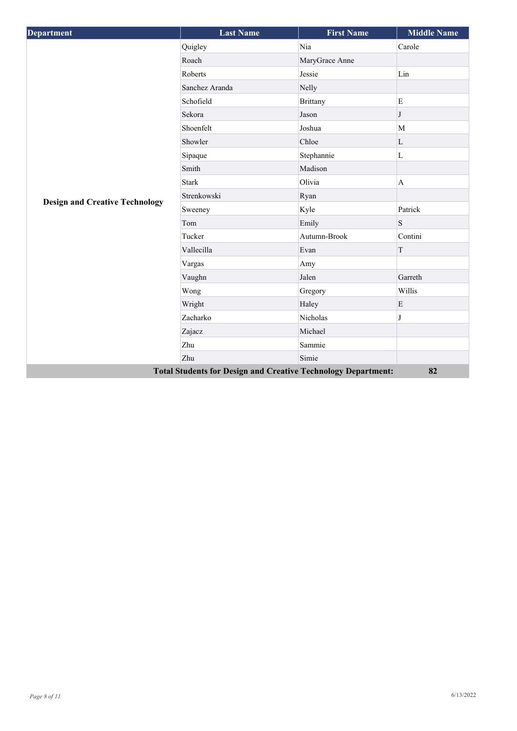| <b>Department</b>                                                    | <b>Last Name</b> | <b>First Name</b> | <b>Middle Name</b> |
|----------------------------------------------------------------------|------------------|-------------------|--------------------|
|                                                                      | Quigley          | Nia               | Carole             |
|                                                                      | Roach            | MaryGrace Anne    |                    |
|                                                                      | Roberts          | Jessie            | Lin                |
|                                                                      | Sanchez Aranda   | Nelly             |                    |
|                                                                      | Schofield        | <b>Brittany</b>   | $\mathbf E$        |
|                                                                      | Sekora           | Jason             | J                  |
|                                                                      | Shoenfelt        | Joshua            | M                  |
|                                                                      | Showler          | Chloe             | L                  |
|                                                                      | Sipaque          | Stephannie        | $\mathbf L$        |
|                                                                      | Smith            | Madison           |                    |
|                                                                      | <b>Stark</b>     | Olivia            | $\mathbf{A}$       |
|                                                                      | Strenkowski      | Ryan              |                    |
| <b>Design and Creative Technology</b>                                | Sweeney          | Kyle              | Patrick            |
|                                                                      | Tom              | Emily             | S                  |
|                                                                      | Tucker           | Autumn-Brook      | Contini            |
|                                                                      | Vallecilla       | Evan              | T                  |
|                                                                      | Vargas           | Amy               |                    |
|                                                                      | Vaughn           | Jalen             | Garreth            |
|                                                                      | Wong             | Gregory           | Willis             |
|                                                                      | Wright           | Haley             | $\mathbf E$        |
|                                                                      | Zacharko         | Nicholas          | J                  |
|                                                                      | Zajacz           | Michael           |                    |
|                                                                      | Zhu              | Sammie            |                    |
| Zhu                                                                  |                  |                   |                    |
| <b>Total Students for Design and Creative Technology Department:</b> | 82               |                   |                    |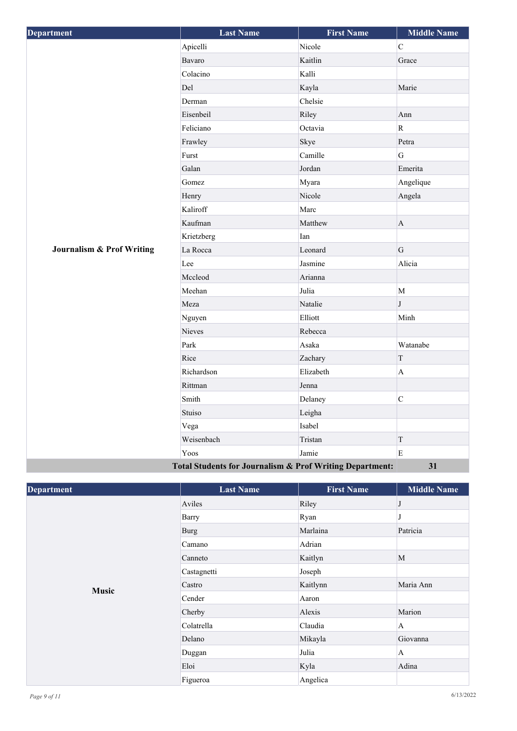| Department                                               | <b>Last Name</b> | <b>First Name</b> | <b>Middle Name</b> |
|----------------------------------------------------------|------------------|-------------------|--------------------|
|                                                          | Apicelli         | Nicole            | $\mathbf C$        |
|                                                          | Bavaro           | Kaitlin           | Grace              |
|                                                          | Colacino         | Kalli             |                    |
|                                                          | Del              | Kayla             | Marie              |
|                                                          | Derman           | Chelsie           |                    |
|                                                          | Eisenbeil        | Riley             | Ann                |
|                                                          | Feliciano        | Octavia           | $\mathbf R$        |
|                                                          | Frawley          | Skye              | Petra              |
|                                                          | Furst            | Camille           | G                  |
|                                                          | Galan            | Jordan            | Emerita            |
|                                                          | Gomez            | Myara             | Angelique          |
|                                                          | Henry            | Nicole            | Angela             |
|                                                          | Kaliroff         | Marc              |                    |
|                                                          | Kaufman          | Matthew           | $\mathbf{A}$       |
|                                                          | Krietzberg       | Ian               |                    |
| <b>Journalism &amp; Prof Writing</b>                     | La Rocca         | Leonard           | G                  |
|                                                          | Lee              | Jasmine           | Alicia             |
|                                                          | Mccleod          | Arianna           |                    |
|                                                          | Meehan           | Julia             | M                  |
|                                                          | Meza             | Natalie           | $\mathbf{J}$       |
|                                                          | Nguyen           | Elliott           | Minh               |
|                                                          | Nieves           | Rebecca           |                    |
|                                                          | Park             | Asaka             | Watanabe           |
|                                                          | Rice             | Zachary           | $\mathbf T$        |
|                                                          | Richardson       | Elizabeth         | $\mathbf{A}$       |
|                                                          | Rittman          | Jenna             |                    |
|                                                          | Smith            | Delaney           | $\mathbf C$        |
|                                                          | Stuiso           | Leigha            |                    |
|                                                          | Vega             | Isabel            |                    |
|                                                          | Weisenbach       | Tristan           | $\mathcal T$       |
|                                                          | Yoos             | Jamie             | E                  |
| Total Students for Journalism & Prof Writing Department: |                  |                   | 31                 |

| <b>Department</b> | <b>Last Name</b> | <b>First Name</b> | <b>Middle Name</b> |
|-------------------|------------------|-------------------|--------------------|
|                   | Aviles           | Riley             | J                  |
|                   | Barry            | Ryan              |                    |
|                   | Burg             | Marlaina          | Patricia           |
|                   | Camano           | Adrian            |                    |
|                   | Canneto          | Kaitlyn           | M                  |
|                   | Castagnetti      | Joseph            |                    |
|                   | Castro           | Kaitlynn          | Maria Ann          |
| <b>Music</b>      | Cender           | Aaron             |                    |
|                   | Cherby           | Alexis            | Marion             |
|                   | Colatrella       | Claudia           | $\overline{A}$     |
|                   | Delano           | Mikayla           | Giovanna           |
|                   | Duggan           | Julia             | $\mathbf{A}$       |
|                   | Eloi             | Kyla              | Adina              |
|                   | Figueroa         | Angelica          |                    |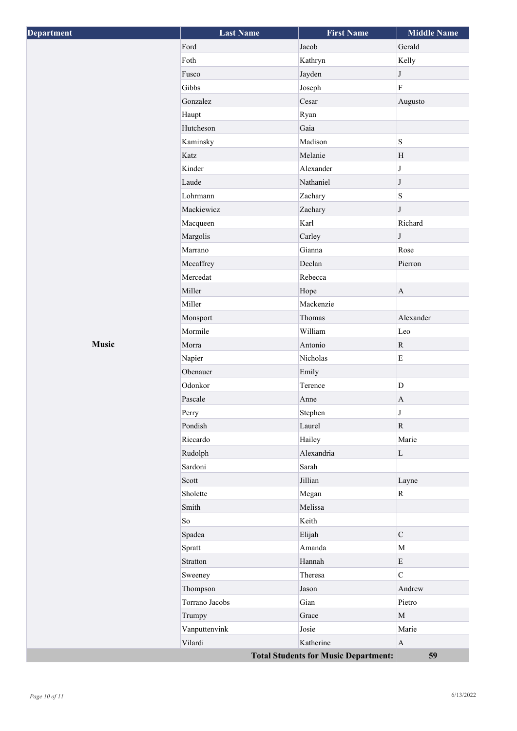| <b>Department</b> | <b>Last Name</b> | <b>First Name</b>                           | <b>Middle Name</b>      |
|-------------------|------------------|---------------------------------------------|-------------------------|
|                   | Ford             | Jacob                                       | Gerald                  |
|                   | Foth             | Kathryn                                     | Kelly                   |
|                   | Fusco            | Jayden                                      | $\bf J$                 |
|                   | Gibbs            | Joseph                                      | $\overline{\mathrm{F}}$ |
|                   | Gonzalez         | Cesar                                       | Augusto                 |
|                   | Haupt            | Ryan                                        |                         |
|                   | Hutcheson        | Gaia                                        |                         |
|                   | Kaminsky         | Madison                                     | S                       |
|                   | Katz             | Melanie                                     | H                       |
|                   | Kinder           | Alexander                                   | $\bf J$                 |
|                   | Laude            | Nathaniel                                   | $\bf J$                 |
|                   | Lohrmann         | Zachary                                     | $\mathbf S$             |
|                   | Mackiewicz       | Zachary                                     | $\bf J$                 |
|                   | Macqueen         | Karl                                        | Richard                 |
|                   | Margolis         | Carley                                      | $\bf J$                 |
|                   | Marrano          | Gianna                                      | Rose                    |
|                   | Mccaffrey        | Declan                                      | Pierron                 |
|                   | Mercedat         | Rebecca                                     |                         |
|                   | Miller           | Hope                                        | $\mathbf{A}$            |
|                   | Miller           | Mackenzie                                   |                         |
|                   | Monsport         | Thomas                                      | Alexander               |
|                   | Mormile          | William                                     | Leo                     |
| <b>Music</b>      | Morra            | Antonio                                     | ${\bf R}$               |
|                   | Napier           | Nicholas                                    | ${\bf E}$               |
|                   | Obenauer         | Emily                                       |                         |
|                   | Odonkor          | Terence                                     | $\mathbf D$             |
|                   | Pascale          | Anne                                        | $\mathbf{A}$            |
|                   | Perry            | Stephen                                     | $\bf J$                 |
|                   | Pondish          | Laurel                                      | $\mathbf R$             |
|                   | Riccardo         | Hailey                                      | Marie                   |
|                   | Rudolph          | Alexandria                                  | $\mathbf L$             |
|                   | Sardoni          | Sarah                                       |                         |
|                   | Scott            | Jillian                                     | Layne                   |
|                   | Sholette         | Megan                                       | $\rm R$                 |
|                   | Smith            | Melissa                                     |                         |
|                   | $\rm So$         | Keith                                       |                         |
|                   | Spadea           | Elijah                                      | $\mathsf{C}$            |
|                   | Spratt           | Amanda                                      | $\mathbf M$             |
|                   | Stratton         | Hannah                                      | E                       |
|                   | Sweeney          | Theresa                                     | $\overline{C}$          |
|                   | Thompson         | Jason                                       | Andrew                  |
|                   | Torrano Jacobs   | Gian                                        | Pietro                  |
|                   | Trumpy           | Grace                                       | $\mathbf{M}$            |
|                   | Vanputtenvink    | Josie                                       | Marie                   |
|                   | Vilardi          | Katherine                                   | $\mathbf{A}$            |
|                   |                  | <b>Total Students for Music Department:</b> | 59                      |